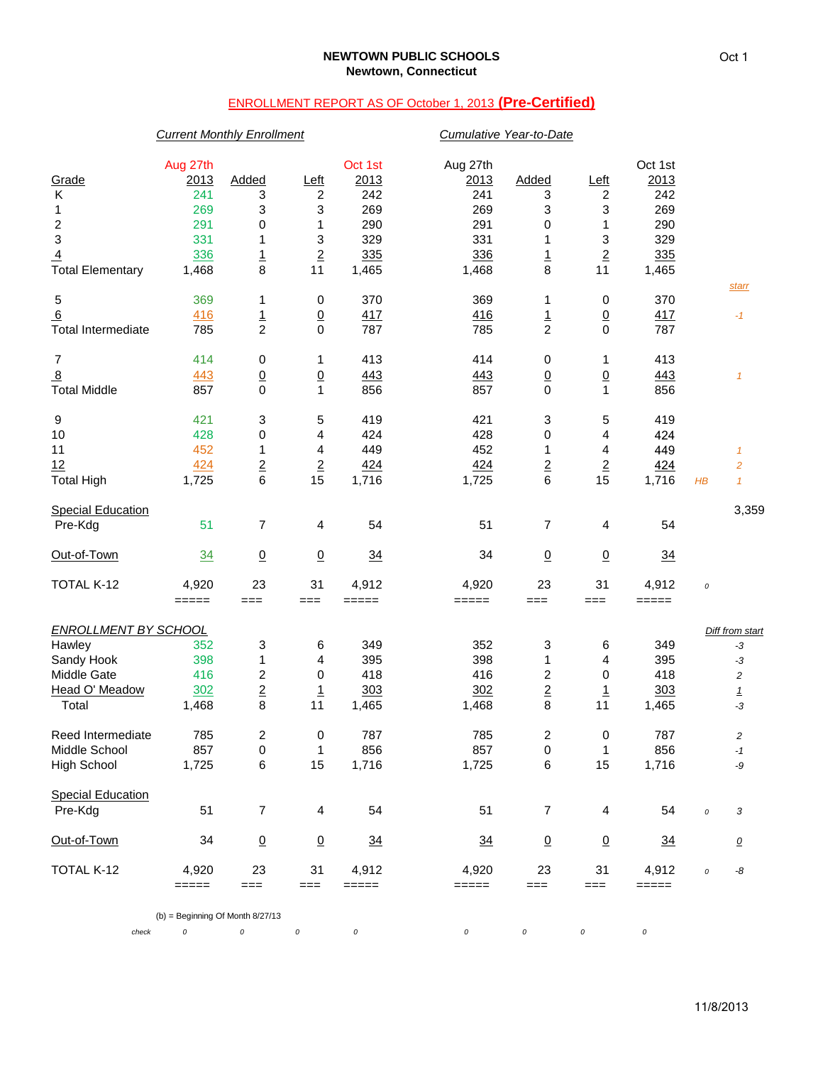# ENROLLMENT REPORT AS OF October 1, 2013 **(Pre-Certified)**

## *Current Monthly Enrollment Cumulative Year-to-Date*

|                             | Aug 27th                                                                       |                         |                          | Oct 1st        | Aug 27th       |                         |                 | Oct 1st        |          |                          |
|-----------------------------|--------------------------------------------------------------------------------|-------------------------|--------------------------|----------------|----------------|-------------------------|-----------------|----------------|----------|--------------------------|
| Grade                       | 2013                                                                           | Added                   | <u>Left</u>              | 2013           | 2013           | Added                   | <u>Left</u>     | 2013           |          |                          |
| K                           | 241                                                                            | 3                       | 2                        | 242            | 241            | 3                       | 2               | 242            |          |                          |
| 1                           | 269                                                                            | 3                       | 3                        | 269            | 269            | 3                       | 3               | 269            |          |                          |
| $\boldsymbol{2}$            | 291                                                                            | 0                       | 1                        | 290            | 291            | 0                       | 1               | 290            |          |                          |
| 3                           | 331                                                                            | 1                       | 3                        | 329            | 331            | 1                       | 3               | 329            |          |                          |
| $\overline{4}$              | 336                                                                            | $\frac{1}{8}$           | $\underline{\mathbf{2}}$ | 335            | 336            | $\overline{1}$          | $\overline{2}$  | 335            |          |                          |
| Total Elementary            | 1,468                                                                          |                         | 11                       | 1,465          | 1,468          | 8                       | 11              | 1,465          |          | <u>starr</u>             |
| 5                           | 369                                                                            | 1                       | 0                        | 370            | 369            | 1                       | 0               | 370            |          |                          |
| $6 \overline{}$             | 416                                                                            | $\frac{1}{2}$           | $\overline{0}$           | 417            | 416            | $\overline{1}$          | $\underline{0}$ | 417            |          | $-1$                     |
| <b>Total Intermediate</b>   | 785                                                                            |                         | $\pmb{0}$                | 787            | 785            | $\overline{c}$          | 0               | 787            |          |                          |
| $\overline{7}$              | 414                                                                            | 0                       | 1                        | 413            | 414            | 0                       | 1               | 413            |          |                          |
| $\overline{8}$              | 443                                                                            | $\frac{0}{0}$           | $\frac{0}{1}$            | 443            | 443            | $\overline{0}$          | $\frac{0}{1}$   | 443            |          | $\mathcal I$             |
| <b>Total Middle</b>         | 857                                                                            |                         |                          | 856            | 857            | 0                       |                 | 856            |          |                          |
| 9                           | 421                                                                            | 3                       | 5                        | 419            | 421            | 3                       | 5               | 419            |          |                          |
| $10$                        | 428                                                                            | 0                       | 4                        | 424            | 428            | 0                       | 4               | 424            |          |                          |
| 11                          | 452                                                                            | 1                       | 4                        | 449            | 452            | 1                       | 4               | 449            |          | $\mathcal I$             |
| 12                          | 424                                                                            | $\overline{2}$          | $\underline{\mathbf{2}}$ | 424            | 424            | $\overline{2}$          | $\overline{2}$  | 424            |          | $\overline{\mathbf{c}}$  |
| <b>Total High</b>           | 1,725                                                                          | 6                       | 15                       | 1,716          | 1,725          | 6                       | 15              | 1,716          | $H\!B$   | $\mathcal I$             |
| <b>Special Education</b>    |                                                                                |                         |                          |                |                |                         |                 |                |          | 3,359                    |
| Pre-Kdg                     | 51                                                                             | 7                       | 4                        | 54             | 51             | 7                       | 4               | 54             |          |                          |
| Out-of-Town                 | 34                                                                             | $\underline{0}$         | $\underline{0}$          | $\frac{34}{5}$ | 34             | $\underline{0}$         | $\underline{0}$ | $\frac{34}{5}$ |          |                          |
| TOTAL K-12                  | 4,920                                                                          | 23                      | 31                       | 4,912          | 4,920          | 23                      | 31              | 4,912          | $\cal O$ |                          |
|                             | $\qquad \qquad \doteq \qquad \qquad \doteq \qquad \qquad \doteq \qquad \qquad$ | $==$                    | $==$                     | =====          | $=====$        | ===                     | $==$            | =====          |          |                          |
| <b>ENROLLMENT BY SCHOOL</b> |                                                                                |                         |                          |                |                |                         |                 |                |          | Diff from start          |
| Hawley                      | 352                                                                            | 3                       | 6                        | 349            | 352            | 3                       | 6               | 349            |          | $-3$                     |
| Sandy Hook                  | 398                                                                            | $\mathbf 1$             | 4                        | 395            | 398            | 1                       | 4               | 395            |          | $-3$                     |
| Middle Gate                 | 416                                                                            | $\overline{\mathbf{c}}$ | 0                        | 418            | 416            | $\overline{\mathbf{c}}$ | 0               | 418            |          | $\overline{c}$           |
| Head O' Meadow              | 302                                                                            | $\overline{\mathbf{c}}$ | $\overline{1}$           | 303            | 302            | $\overline{2}$          | $\overline{1}$  | 303            |          | $\mathbf{1}$             |
| Total                       | 1,468                                                                          | 8                       | 11                       | 1,465          | 1,468          | 8                       | 11              | 1,465          |          | $-3$                     |
| Reed Intermediate           | 785                                                                            | $\overline{\mathbf{c}}$ | 0                        | 787            | 785            | 2                       | 0               | 787            |          | 2                        |
| Middle School               | 857                                                                            | $\pmb{0}$               | 1                        | 856            | 857            | 0                       | 1               | 856            |          | $-1$                     |
| <b>High School</b>          | 1,725                                                                          | 6                       | 15                       | 1,716          | 1,725          | 6                       | 15              | 1,716          |          | -9                       |
| <b>Special Education</b>    |                                                                                |                         |                          |                |                |                         |                 |                |          |                          |
| Pre-Kdg                     | 51                                                                             | $\overline{7}$          | $\overline{4}$           | 54             | 51             | 7                       | 4               | 54             | $\cal O$ | 3                        |
| Out-of-Town                 | 34                                                                             | $\underline{0}$         | $\underline{0}$          | $\frac{34}{5}$ | $\frac{34}{5}$ | $\overline{0}$          | $\overline{0}$  | $\frac{34}{2}$ |          | $\overline{\mathcal{O}}$ |
| TOTAL K-12                  | 4,920                                                                          | 23                      | 31                       | 4,912          | 4,920          | 23                      | 31              | 4,912          | $\cal O$ | -8                       |
|                             | $== == ==$                                                                     | $==$                    | $==$                     | =====          | $=====$        | $==$                    | $==$            | =====          |          |                          |
|                             | $(b)$ = Beginning Of Month 8/27/13                                             |                         |                          |                |                |                         |                 |                |          |                          |
| check                       | $\cal O$                                                                       | 0                       | 0                        | 0              | 0              | 0                       | 0               | $\cal O$       |          |                          |